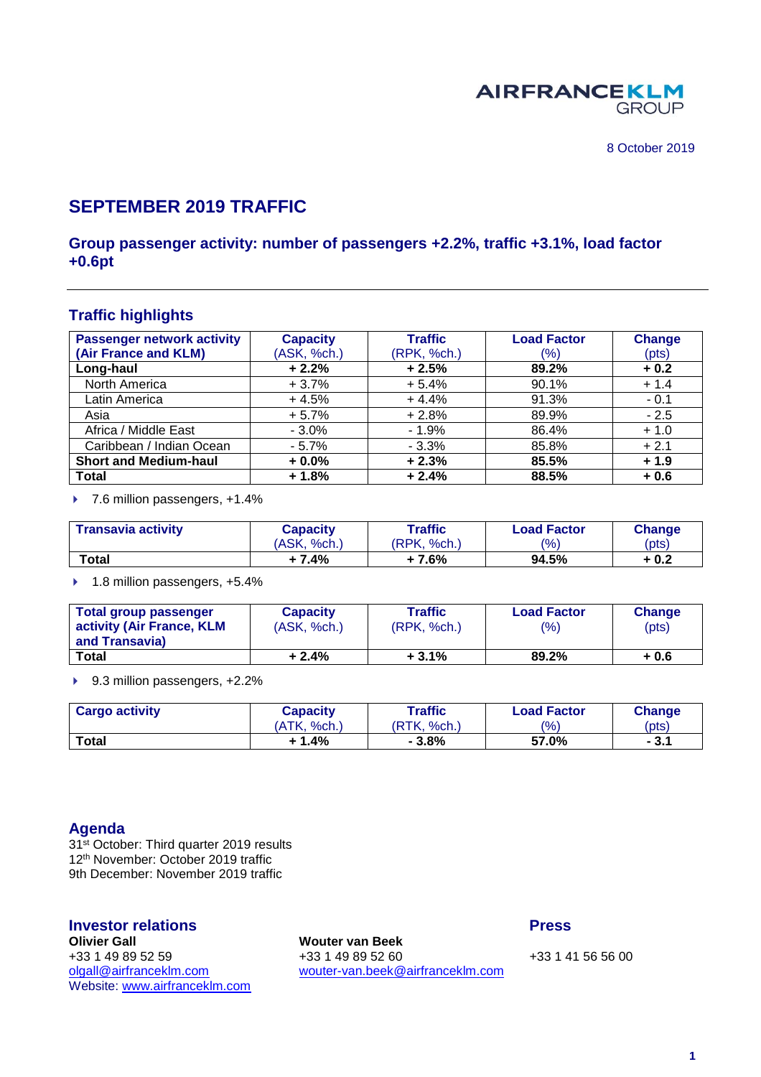

## **SEPTEMBER 2019 TRAFFIC**

#### **Group passenger activity: number of passengers +2.2%, traffic +3.1%, load factor +0.6pt**

#### **Traffic highlights**

| <b>Passenger network activity</b> | <b>Capacity</b> | <b>Traffic</b> | <b>Load Factor</b> | <b>Change</b> |
|-----------------------------------|-----------------|----------------|--------------------|---------------|
| (Air France and KLM)              | (ASK, %ch.)     | (RPK, %ch.)    | (%)                | (pts)         |
| Long-haul                         | $+2.2%$         | $+2.5%$        | 89.2%              | $+0.2$        |
| North America                     | $+3.7%$         | $+5.4%$        | 90.1%              | $+1.4$        |
| Latin America                     | $+4.5%$         | $+4.4%$        | 91.3%              | $-0.1$        |
| Asia                              | $+5.7%$         | $+2.8%$        | 89.9%              | $-2.5$        |
| Africa / Middle East              | $-3.0%$         | $-1.9%$        | 86.4%              | $+1.0$        |
| Caribbean / Indian Ocean          | $-5.7%$         | $-3.3%$        | 85.8%              | $+2.1$        |
| <b>Short and Medium-haul</b>      | $+0.0%$         | $+2.3%$        | 85.5%              | $+1.9$        |
| <b>Total</b>                      | $+1.8%$         | $+2.4%$        | 88.5%              | $+0.6$        |

▶ 7.6 million passengers, +1.4%

| <b>Transavia activity</b> | <b>Capacity</b> | <b>Traffic</b>          | <b>Load Factor</b> | <b>Change</b> |
|---------------------------|-----------------|-------------------------|--------------------|---------------|
|                           | (ASK, %ch.)     | 'RPK.<br>ິ%ch. <i>)</i> | $\frac{(0)}{0}$    | (pts)         |
| Total                     | + 7.4%          | + 7.6%                  | 94.5%              | + 0.2         |

▶ 1.8 million passengers, +5.4%

| Total group passenger<br>activity (Air France, KLM<br>and Transavia) | <b>Capacity</b><br>(ASK, %ch.) | Traffic<br>(RPK, %ch.) | <b>Load Factor</b><br>(9/6) | Change<br>(pts) |
|----------------------------------------------------------------------|--------------------------------|------------------------|-----------------------------|-----------------|
| <b>Total</b>                                                         | $+2.4%$                        | $+3.1%$                | 89.2%                       | + 0.6           |

▶ 9.3 million passengers, +2.2%

| <b>Cargo activity</b> | Capacity          | Traffic        | <b>Load Factor</b> | <b>Change</b> |
|-----------------------|-------------------|----------------|--------------------|---------------|
|                       | 'ATK.<br>$%$ ch.) | 'RTK.<br>%ch., | $\frac{10}{6}$     | (pts)         |
| <b>Total</b>          | 1.4%              | $-3.8%$        | 57.0%              | $-3.1$        |

#### **Agenda**

31<sup>st</sup> October: Third quarter 2019 results 12th November: October 2019 traffic 9th December: November 2019 traffic

# **Investor relations Press Olivier Gall Wouter van Beek** Website: [www.airfranceklm.com](http://www.airfranceklm.com/)

+33 1 49 89 52 59 +33 1 49 89 52 60 +33 1 49 89 52 60 +33 1 41 56 56 00<br>
olgall@airfranceklm.com wouter-van.beek@airfranceklm.com [wouter-van.beek@airfranceklm.com](mailto:wouter-van.beek@airfranceklm.com)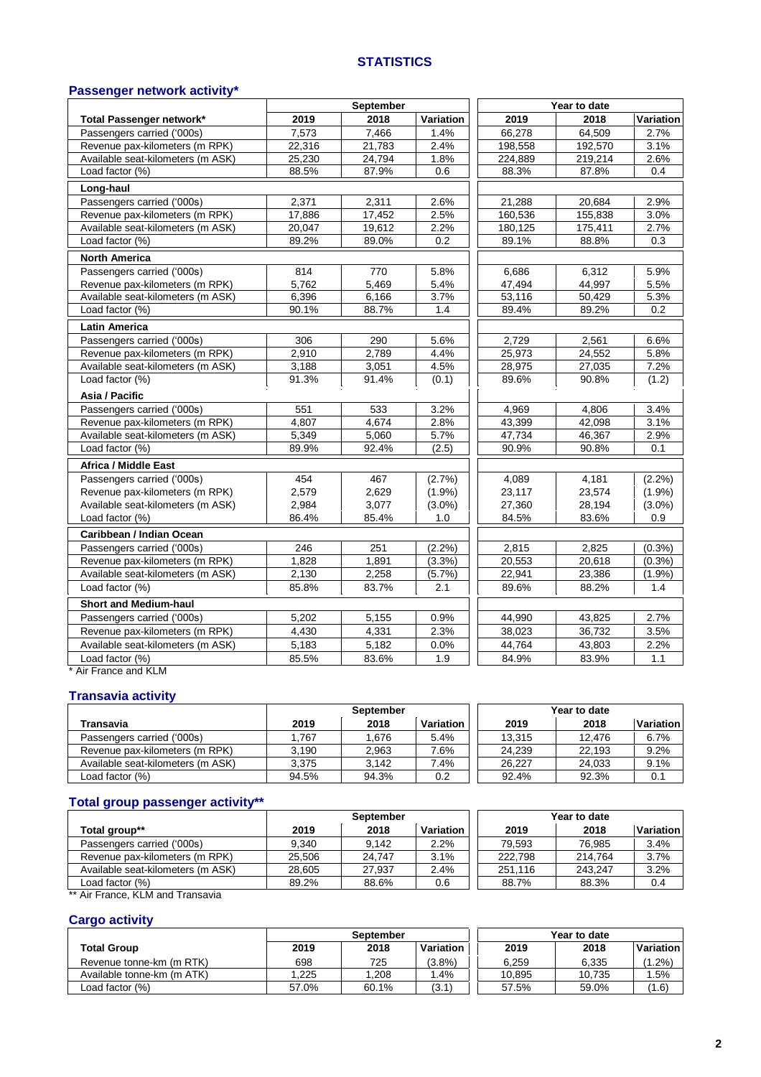#### **STATISTICS**

#### **Passenger network activity\***

|                                   |        | September |           |         | Year to date |           |
|-----------------------------------|--------|-----------|-----------|---------|--------------|-----------|
| Total Passenger network*          | 2019   | 2018      | Variation | 2019    | 2018         | Variation |
| Passengers carried ('000s)        | 7,573  | 7,466     | 1.4%      | 66,278  | 64,509       | 2.7%      |
| Revenue pax-kilometers (m RPK)    | 22,316 | 21,783    | 2.4%      | 198,558 | 192,570      | 3.1%      |
| Available seat-kilometers (m ASK) | 25,230 | 24,794    | 1.8%      | 224,889 | 219,214      | 2.6%      |
| Load factor (%)                   | 88.5%  | 87.9%     | 0.6       | 88.3%   | 87.8%        | 0.4       |
| Long-haul                         |        |           |           |         |              |           |
| Passengers carried ('000s)        | 2,371  | 2,311     | 2.6%      | 21,288  | 20,684       | 2.9%      |
| Revenue pax-kilometers (m RPK)    | 17,886 | 17,452    | 2.5%      | 160,536 | 155,838      | 3.0%      |
| Available seat-kilometers (m ASK) | 20,047 | 19,612    | 2.2%      | 180,125 | 175,411      | 2.7%      |
| Load factor $(\%)$                | 89.2%  | 89.0%     | 0.2       | 89.1%   | 88.8%        | 0.3       |
| <b>North America</b>              |        |           |           |         |              |           |
| Passengers carried ('000s)        | 814    | 770       | 5.8%      | 6,686   | 6,312        | 5.9%      |
| Revenue pax-kilometers (m RPK)    | 5.762  | 5,469     | 5.4%      | 47,494  | 44.997       | 5.5%      |
| Available seat-kilometers (m ASK) | 6,396  | 6,166     | 3.7%      | 53,116  | 50,429       | 5.3%      |
| Load factor (%)                   | 90.1%  | 88.7%     | 1.4       | 89.4%   | 89.2%        | 0.2       |
| <b>Latin America</b>              |        |           |           |         |              |           |
| Passengers carried ('000s)        | 306    | 290       | 5.6%      | 2,729   | 2,561        | 6.6%      |
| Revenue pax-kilometers (m RPK)    | 2,910  | 2,789     | 4.4%      | 25,973  | 24,552       | 5.8%      |
| Available seat-kilometers (m ASK) | 3,188  | 3,051     | 4.5%      | 28,975  | 27,035       | 7.2%      |
| Load factor (%)                   | 91.3%  | 91.4%     | (0.1)     | 89.6%   | 90.8%        | (1.2)     |
| Asia / Pacific                    |        |           |           |         |              |           |
| Passengers carried ('000s)        | 551    | 533       | 3.2%      | 4,969   | 4,806        | 3.4%      |
| Revenue pax-kilometers (m RPK)    | 4,807  | 4,674     | 2.8%      | 43,399  | 42,098       | 3.1%      |
| Available seat-kilometers (m ASK) | 5,349  | 5,060     | 5.7%      | 47.734  | 46,367       | 2.9%      |
| Load factor (%)                   | 89.9%  | 92.4%     | (2.5)     | 90.9%   | 90.8%        | 0.1       |
| Africa / Middle East              |        |           |           |         |              |           |
| Passengers carried ('000s)        | 454    | 467       | (2.7%     | 4,089   | 4,181        | (2.2%)    |
| Revenue pax-kilometers (m RPK)    | 2,579  | 2,629     | (1.9%)    | 23,117  | 23,574       | (1.9%     |
| Available seat-kilometers (m ASK) | 2,984  | 3,077     | $(3.0\%)$ | 27,360  | 28,194       | $(3.0\%)$ |
| Load factor (%)                   | 86.4%  | 85.4%     | 1.0       | 84.5%   | 83.6%        | 0.9       |
| Caribbean / Indian Ocean          |        |           |           |         |              |           |
| Passengers carried ('000s)        | 246    | 251       | (2.2%)    | 2.815   | 2,825        | (0.3% )   |
| Revenue pax-kilometers (m RPK)    | 1,828  | 1,891     | (3.3%)    | 20,553  | 20,618       | (0.3%)    |
| Available seat-kilometers (m ASK) | 2,130  | 2,258     | (5.7%)    | 22,941  | 23,386       | (1.9%)    |
| Load factor (%)                   | 85.8%  | 83.7%     | 2.1       | 89.6%   | 88.2%        | 1.4       |
| <b>Short and Medium-haul</b>      |        |           |           |         |              |           |
| Passengers carried ('000s)        | 5,202  | 5,155     | 0.9%      | 44,990  | 43,825       | 2.7%      |
| Revenue pax-kilometers (m RPK)    | 4,430  | 4,331     | 2.3%      | 38,023  | 36,732       | 3.5%      |
| Available seat-kilometers (m ASK) | 5,183  | 5,182     | 0.0%      | 44,764  | 43,803       | 2.2%      |
| Load factor (%)                   | 85.5%  | 83.6%     | 1.9       | 84.9%   | 83.9%        | 1.1       |
| Air France and KLM                |        |           |           |         |              |           |

### **Transavia activity**

|                                   | <b>September</b> |       |           |        | Year to date |           |
|-----------------------------------|------------------|-------|-----------|--------|--------------|-----------|
| Transavia                         | 2019             | 2018  | Variation | 2019   | 2018         | Variation |
| Passengers carried ('000s)        | .767             | .676  | 5.4%      | 13.315 | 12.476       | 6.7%      |
| Revenue pax-kilometers (m RPK)    | 3.190            | 2.963 | 7.6%      | 24.239 | 22.193       | 9.2%      |
| Available seat-kilometers (m ASK) | 3.375            | 3.142 | 7.4%      | 26.227 | 24.033       | 9.1%      |
| Load factor (%)                   | 94.5%            | 94.3% | 0.2       | 92.4%  | 92.3%        | 0.1       |

#### **Total group passenger activity\*\***

|                                   | <b>September</b> |        |           |         | Year to date |           |
|-----------------------------------|------------------|--------|-----------|---------|--------------|-----------|
| Total group**                     | 2019             | 2018   | Variation | 2019    | 2018         | Variation |
| Passengers carried ('000s)        | 9.340            | 9.142  | 2.2%      | 79.593  | 76.985       | 3.4%      |
| Revenue pax-kilometers (m RPK)    | 25.506           | 24.747 | 3.1%      | 222.798 | 214.764      | 3.7%      |
| Available seat-kilometers (m ASK) | 28.605           | 27,937 | 2.4%      | 251.116 | 243.247      | 3.2%      |
| Load factor $(\%)$                | 89.2%            | 88.6%  | 0.6       | 88.7%   | 88.3%        | 0.4       |

Air France, KLM and Transavia

#### **Cargo activity**

|                            | <b>September</b> |       |           |        | Year to date |           |
|----------------------------|------------------|-------|-----------|--------|--------------|-----------|
| <b>Total Group</b>         | 2019             | 2018  | Variation | 2019   | 2018         | Variation |
| Revenue tonne-km (m RTK)   | 698              | 725   | $(3.8\%)$ | 6.259  | 6.335        | $.2\%$    |
| Available tonne-km (m ATK) | 1.225            | .208  | .4%       | 10.895 | 10.735       | .5%       |
| Load factor (%)            | 57.0%            | 60.1% | (3.1)     | 57.5%  | 59.0%        | (1.6)     |